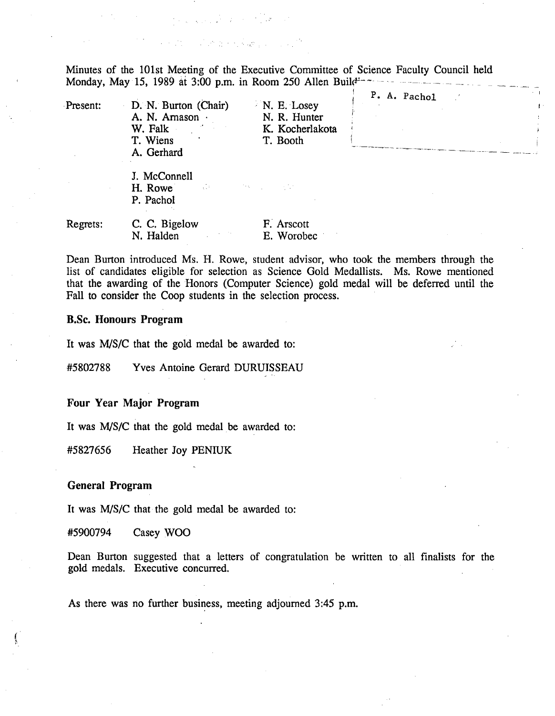$\label{eq:2.1} \frac{1}{\left(1+\frac{1}{2}\right)^{2}}\left(\frac{1}{\sqrt{2}}\right)^{2} \left(\frac{1}{\sqrt{2}}\right)^{2} \left(\frac{1}{\sqrt{2}}\right)^{2} \left(\frac{1}{\sqrt{2}}\right)^{2} \left(\frac{1}{\sqrt{2}}\right)^{2} \left(\frac{1}{\sqrt{2}}\right)^{2} \left(\frac{1}{\sqrt{2}}\right)^{2} \left(\frac{1}{\sqrt{2}}\right)^{2} \left(\frac{1}{\sqrt{2}}\right)^{2} \left(\frac{1}{\sqrt{2}}\right)^{2} \left(\frac{1}{\sqrt{$ 

and the contract of the contract of the contract of the contract of the contract of the contract of the contract of the contract of the contract of the contract of the contract of the contract of the contract of the contra

Minutes of the 101st Meeting of the Executive Committee of Science Faculty Council held Monday, May 15, 1989 at 3:00 p.m. in Room 250 Allen Build<sup>1</sup>

| Present: | D. N. Burton (Chair)<br>A. N. Arnason ·<br>W. Falk<br>T. Wiens<br>A. Gerhard | N. E. Losey<br>N. R. Hunter<br>K. Kocherlakota<br>T. Booth | P. A. Pachol | $\sim$ 1 |
|----------|------------------------------------------------------------------------------|------------------------------------------------------------|--------------|----------|
|          | J. McConnell<br>$\sim 100$<br>H. Rowe<br>P. Pachol                           | <b>START CONTRACTOR</b>                                    |              |          |
| Regrets: | C. C. Bigelow<br>N. Halden                                                   | F. Arscott<br>E. Worobec                                   |              |          |

Dean Burton introduced Ms. H. Rowe, student advisor, who took the members through the list of candidates eligible for selection as Science Gold Medallists. Ms. Rowe mentioned that the awarding of the Honors (Computer Science) gold medal will be deferred until the Fall to consider the Coop students in the selection process.

## **B.Sc. Honours Program**

It was M/S/C that the gold medal be awarded to:

#5802788 Yves Antoine Gerard DURUISSEAU

**Four Year Major Program** 

It was MIS/C that the gold medal be awarded to:

*#5 827656* Heather Joy PENIUK

## **General Program**

It was M/S/C that the gold medal be awarded to:

#5900794 Casey WOO

Dean Burton suggested that a letters of congratulation be written to all finalists for the gold medals. Executive concurred.

As there was no further business, meeting adjourned *3:45* p.m.